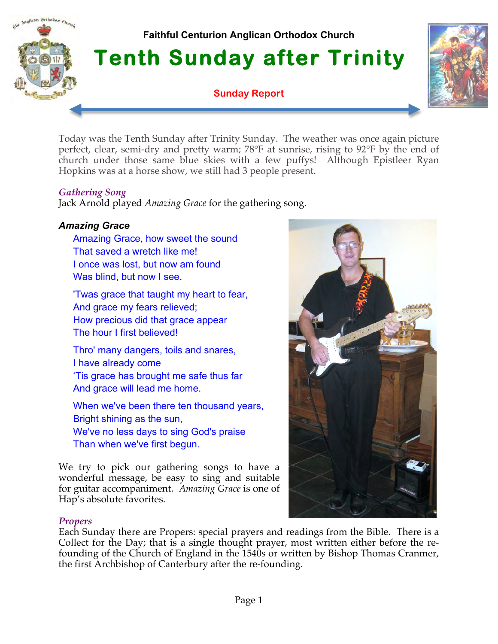

**Faithful Centurion Anglican Orthodox Church**

**Tenth Sunday after Trinity** 

**Sunday Report**



Today was the Tenth Sunday after Trinity Sunday. The weather was once again picture perfect, clear, semi-dry and pretty warm; 78°F at sunrise, rising to 92°F by the end of church under those same blue skies with a few puffys! Although Epistleer Ryan Hopkins was at a horse show, we still had 3 people present.

## *Gathering Song*

Jack Arnold played *Amazing Grace* for the gathering song.

# *Amazing Grace*

Amazing Grace, how sweet the sound That saved a wretch like me! I once was lost, but now am found Was blind, but now I see.

'Twas grace that taught my heart to fear, And grace my fears relieved; How precious did that grace appear The hour I first believed!

Thro' many dangers, toils and snares, I have already come 'Tis grace has brought me safe thus far And grace will lead me home.

When we've been there ten thousand years, Bright shining as the sun, We've no less days to sing God's praise Than when we've first begun.

We try to pick our gathering songs to have a wonderful message, be easy to sing and suitable for guitar accompaniment. *Amazing Grace* is one of Hap's absolute favorites.

## *Propers*

Each Sunday there are Propers: special prayers and readings from the Bible. There is a Collect for the Day; that is a single thought prayer, most written either before the refounding of the Church of England in the 1540s or written by Bishop Thomas Cranmer, the first Archbishop of Canterbury after the re-founding.

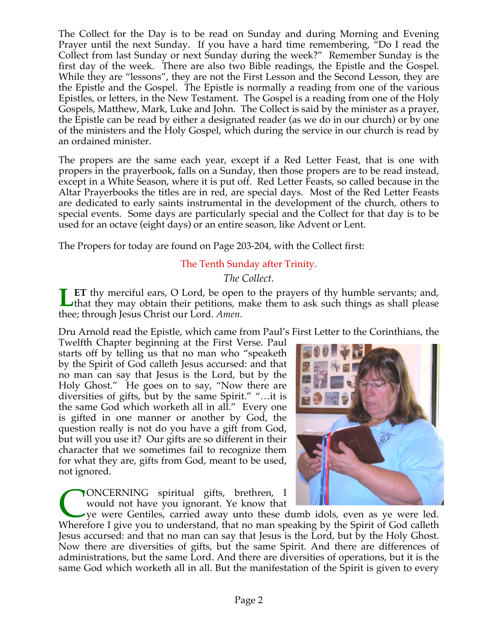The Collect for the Day is to be read on Sunday and during Morning and Evening Prayer until the next Sunday. If you have a hard time remembering, "Do I read the Collect from last Sunday or next Sunday during the week?" Remember Sunday is the first day of the week. There are also two Bible readings, the Epistle and the Gospel. While they are "lessons", they are not the First Lesson and the Second Lesson, they are the Epistle and the Gospel. The Epistle is normally a reading from one of the various Epistles, or letters, in the New Testament. The Gospel is a reading from one of the Holy Gospels, Matthew, Mark, Luke and John. The Collect is said by the minister as a prayer, the Epistle can be read by either a designated reader (as we do in our church) or by one of the ministers and the Holy Gospel, which during the service in our church is read by an ordained minister.

The propers are the same each year, except if a Red Letter Feast, that is one with propers in the prayerbook, falls on a Sunday, then those propers are to be read instead, except in a White Season, where it is put off. Red Letter Feasts, so called because in the Altar Prayerbooks the titles are in red, are special days. Most of the Red Letter Feasts are dedicated to early saints instrumental in the development of the church, others to special events. Some days are particularly special and the Collect for that day is to be used for an octave (eight days) or an entire season, like Advent or Lent.

The Propers for today are found on Page 203-204, with the Collect first:

# The Tenth Sunday after Trinity.

*The Collect.*

**ET** thy merciful ears, O Lord, be open to the prayers of thy humble servants; and, that they may obtain their petitions, make them to ask such things as shall please thee; through Jesus Christ our Lord. *Amen.* **L**

Dru Arnold read the Epistle, which came from Paul's First Letter to the Corinthians, the

Twelfth Chapter beginning at the First Verse. Paul starts off by telling us that no man who "speaketh by the Spirit of God calleth Jesus accursed: and that no man can say that Jesus is the Lord, but by the Holy Ghost." He goes on to say, "Now there are diversities of gifts, but by the same Spirit." "…it is the same God which worketh all in all." Every one is gifted in one manner or another by God, the question really is not do you have a gift from God, but will you use it? Our gifts are so different in their character that we sometimes fail to recognize them for what they are, gifts from God, meant to be used, not ignored.

ONCERNING spiritual gifts, brethren, I would not have you ignorant. Ye know that



ye were Gentiles, carried away unto these dumb idols, even as ye were led. WONCERNING spiritual gifts, brethren, I would not have you ignorant. Ye know that ye were Gentiles, carried away unto these dumb idols, even as ye were led. Wherefore I give you to understand, that no man speaking by the S Jesus accursed: and that no man can say that Jesus is the Lord, but by the Holy Ghost. Now there are diversities of gifts, but the same Spirit. And there are differences of administrations, but the same Lord. And there are diversities of operations, but it is the same God which worketh all in all. But the manifestation of the Spirit is given to every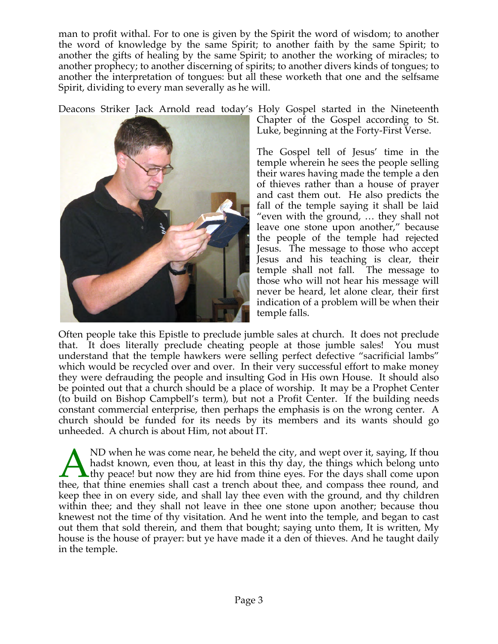man to profit withal. For to one is given by the Spirit the word of wisdom; to another the word of knowledge by the same Spirit; to another faith by the same Spirit; to another the gifts of healing by the same Spirit; to another the working of miracles; to another prophecy; to another discerning of spirits; to another divers kinds of tongues; to another the interpretation of tongues: but all these worketh that one and the selfsame Spirit, dividing to every man severally as he will.

Deacons Striker Jack Arnold read today's Holy Gospel started in the Nineteenth



Chapter of the Gospel according to St. Luke, beginning at the Forty-First Verse.

The Gospel tell of Jesus' time in the temple wherein he sees the people selling their wares having made the temple a den of thieves rather than a house of prayer and cast them out. He also predicts the fall of the temple saying it shall be laid "even with the ground, … they shall not leave one stone upon another," because the people of the temple had rejected Jesus. The message to those who accept Jesus and his teaching is clear, their temple shall not fall. The message to those who will not hear his message will never be heard, let alone clear, their first indication of a problem will be when their temple falls.

Often people take this Epistle to preclude jumble sales at church. It does not preclude that. It does literally preclude cheating people at those jumble sales! You must understand that the temple hawkers were selling perfect defective "sacrificial lambs" which would be recycled over and over. In their very successful effort to make money they were defrauding the people and insulting God in His own House. It should also be pointed out that a church should be a place of worship. It may be a Prophet Center (to build on Bishop Campbell's term), but not a Profit Center. If the building needs constant commercial enterprise, then perhaps the emphasis is on the wrong center. A church should be funded for its needs by its members and its wants should go unheeded. A church is about Him, not about IT.

ND when he was come near, he beheld the city, and wept over it, saying, If thou hadst known, even thou, at least in this thy day, the things which belong unto  $\blacktriangle$  thy peace! but now they are hid from thine eyes. For the days shall come upon All the was come near, he beheld the city, and wept over it, saying, If thou hadst known, even thou, at least in this thy day, the things which belong unto thee, that thine enemies shall cast a trench about thee, and compa keep thee in on every side, and shall lay thee even with the ground, and thy children within thee; and they shall not leave in thee one stone upon another; because thou knewest not the time of thy visitation. And he went into the temple, and began to cast out them that sold therein, and them that bought; saying unto them, It is written, My house is the house of prayer: but ye have made it a den of thieves. And he taught daily in the temple.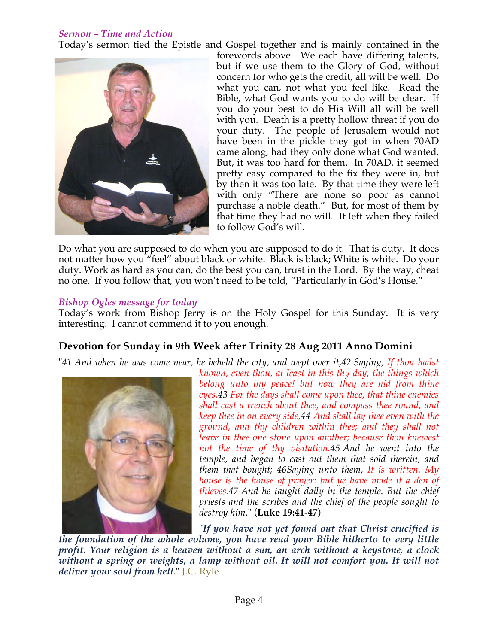### *Sermon – Time and Action*

Today's sermon tied the Epistle and Gospel together and is mainly contained in the



forewords above. We each have differing talents, but if we use them to the Glory of God, without concern for who gets the credit, all will be well. Do what you can, not what you feel like. Read the Bible, what God wants you to do will be clear. If you do your best to do His Will all will be well with you. Death is a pretty hollow threat if you do your duty. The people of Jerusalem would not have been in the pickle they got in when 70AD came along, had they only done what God wanted. But, it was too hard for them. In 70AD, it seemed pretty easy compared to the fix they were in, but by then it was too late. By that time they were left with only "There are none so poor as cannot purchase a noble death." But, for most of them by that time they had no will. It left when they failed to follow God's will.

Do what you are supposed to do when you are supposed to do it. That is duty. It does not matter how you "feel" about black or white. Black is black; White is white. Do your duty. Work as hard as you can, do the best you can, trust in the Lord. By the way, cheat no one. If you follow that, you won't need to be told, "Particularly in God's House."

### *Bishop Ogles message for today*

Today's work from Bishop Jerry is on the Holy Gospel for this Sunday. It is very interesting. I cannot commend it to you enough.

## **Devotion for Sunday in 9th Week after Trinity 28 Aug 2011 Anno Domini**

"*41 And when he was come near, he beheld the city, and wept over it,42 Saying, If thou hadst* 



*known, even thou, at least in this thy day, the things which belong unto thy peace! but now they are hid from thine eyes.43 For the days shall come upon thee, that thine enemies shall cast a trench about thee, and compass thee round, and keep thee in on every side,44 And shall lay thee even with the ground, and thy children within thee; and they shall not leave in thee one stone upon another; because thou knewest not the time of thy visitation.45 And he went into the temple, and began to cast out them that sold therein, and them that bought; 46Saying unto them, It is written, My house is the house of prayer: but ye have made it a den of thieves.47 And he taught daily in the temple. But the chief priests and the scribes and the chief of the people sought to destroy him*." (**Luke 19:41-47**)

"*If you have not yet found out that Christ crucified is the foundation of the whole volume, you have read your Bible hitherto to very little profit. Your religion is a heaven without a sun, an arch without a keystone, a clock*  without a spring or weights, a lamp without oil. It will not comfort you. It will not *deliver your soul from hell*." J.C. Ryle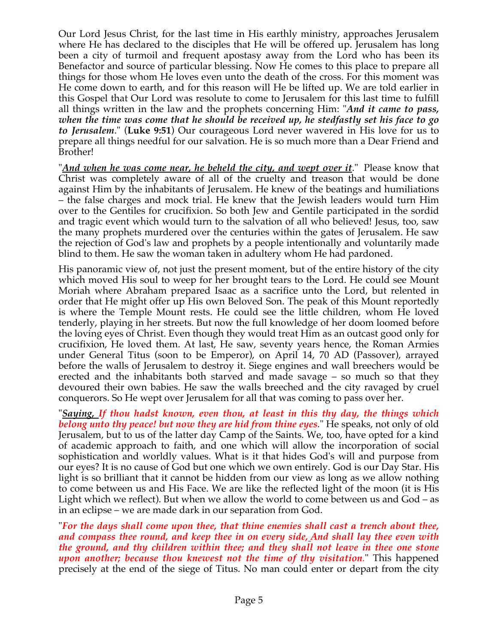Our Lord Jesus Christ, for the last time in His earthly ministry, approaches Jerusalem where He has declared to the disciples that He will be offered up. Jerusalem has long been a city of turmoil and frequent apostasy away from the Lord who has been its Benefactor and source of particular blessing. Now He comes to this place to prepare all things for those whom He loves even unto the death of the cross. For this moment was He come down to earth, and for this reason will He be lifted up. We are told earlier in this Gospel that Our Lord was resolute to come to Jerusalem for this last time to fulfill all things written in the law and the prophets concerning Him: "*And it came to pass, when the time was come that he should be received up, he stedfastly set his face to go to Jerusalem*." (**Luke 9:51**) Our courageous Lord never wavered in His love for us to prepare all things needful for our salvation. He is so much more than a Dear Friend and Brother!

"*And when he was come near, he beheld the city, and wept over it*." Please know that Christ was completely aware of all of the cruelty and treason that would be done against Him by the inhabitants of Jerusalem. He knew of the beatings and humiliations – the false charges and mock trial. He knew that the Jewish leaders would turn Him over to the Gentiles for crucifixion. So both Jew and Gentile participated in the sordid and tragic event which would turn to the salvation of all who believed! Jesus, too, saw the many prophets murdered over the centuries within the gates of Jerusalem. He saw the rejection of God's law and prophets by a people intentionally and voluntarily made blind to them. He saw the woman taken in adultery whom He had pardoned.

His panoramic view of, not just the present moment, but of the entire history of the city which moved His soul to weep for her brought tears to the Lord. He could see Mount Moriah where Abraham prepared Isaac as a sacrifice unto the Lord, but relented in order that He might offer up His own Beloved Son. The peak of this Mount reportedly is where the Temple Mount rests. He could see the little children, whom He loved tenderly, playing in her streets. But now the full knowledge of her doom loomed before the loving eyes of Christ. Even though they would treat Him as an outcast good only for crucifixion, He loved them. At last, He saw, seventy years hence, the Roman Armies under General Titus (soon to be Emperor), on April 14, 70 AD (Passover), arrayed before the walls of Jerusalem to destroy it. Siege engines and wall breechers would be erected and the inhabitants both starved and made savage – so much so that they devoured their own babies. He saw the walls breeched and the city ravaged by cruel conquerors. So He wept over Jerusalem for all that was coming to pass over her.

"*Saying, If thou hadst known, even thou, at least in this thy day, the things which belong unto thy peace! but now they are hid from thine eyes.*" He speaks, not only of old Jerusalem, but to us of the latter day Camp of the Saints. We, too, have opted for a kind of academic approach to faith, and one which will allow the incorporation of social sophistication and worldly values. What is it that hides God's will and purpose from our eyes? It is no cause of God but one which we own entirely. God is our Day Star. His light is so brilliant that it cannot be hidden from our view as long as we allow nothing to come between us and His Face. We are like the reflected light of the moon (it is His Light which we reflect). But when we allow the world to come between us and God – as in an eclipse – we are made dark in our separation from God.

"*For the days shall come upon thee, that thine enemies shall cast a trench about thee, and compass thee round, and keep thee in on every side, And shall lay thee even with the ground, and thy children within thee; and they shall not leave in thee one stone upon another; because thou knewest not the time of thy visitation.*" This happened precisely at the end of the siege of Titus. No man could enter or depart from the city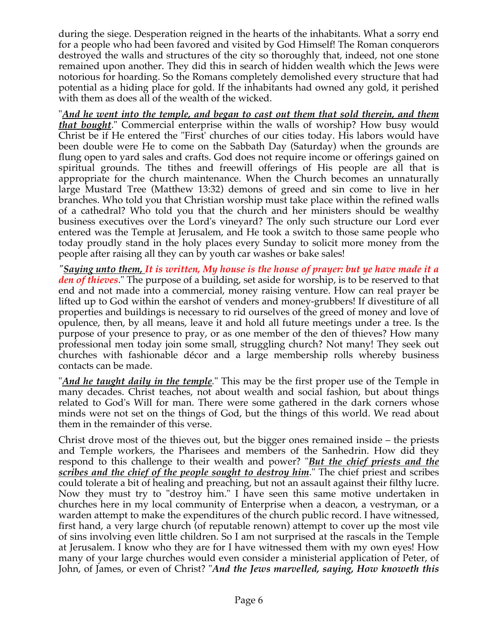during the siege. Desperation reigned in the hearts of the inhabitants. What a sorry end for a people who had been favored and visited by God Himself! The Roman conquerors destroyed the walls and structures of the city so thoroughly that, indeed, not one stone remained upon another. They did this in search of hidden wealth which the Jews were notorious for hoarding. So the Romans completely demolished every structure that had potential as a hiding place for gold. If the inhabitants had owned any gold, it perished with them as does all of the wealth of the wicked.

"*And he went into the temple, and began to cast out them that sold therein, and them that bought*." Commercial enterprise within the walls of worship? How busy would Christ be if He entered the "First' churches of our cities today. His labors would have been double were He to come on the Sabbath Day (Saturday) when the grounds are flung open to yard sales and crafts. God does not require income or offerings gained on spiritual grounds. The tithes and freewill offerings of His people are all that is appropriate for the church maintenance. When the Church becomes an unnaturally large Mustard Tree (Matthew 13:32) demons of greed and sin come to live in her branches. Who told you that Christian worship must take place within the refined walls of a cathedral? Who told you that the church and her ministers should be wealthy business executives over the Lord's vineyard? The only such structure our Lord ever entered was the Temple at Jerusalem, and He took a switch to those same people who today proudly stand in the holy places every Sunday to solicit more money from the people after raising all they can by youth car washes or bake sales!

*"Saying unto them, It is written, My house is the house of prayer: but ye have made it a den of thieves*." The purpose of a building, set aside for worship, is to be reserved to that end and not made into a commercial, money raising venture. How can real prayer be lifted up to God within the earshot of venders and money-grubbers! If divestiture of all properties and buildings is necessary to rid ourselves of the greed of money and love of opulence, then, by all means, leave it and hold all future meetings under a tree. Is the purpose of your presence to pray, or as one member of the den of thieves? How many professional men today join some small, struggling church? Not many! They seek out churches with fashionable décor and a large membership rolls whereby business contacts can be made.

"*And he taught daily in the temple.*" This may be the first proper use of the Temple in many decades. Christ teaches, not about wealth and social fashion, but about things related to God's Will for man. There were some gathered in the dark corners whose minds were not set on the things of God, but the things of this world. We read about them in the remainder of this verse.

Christ drove most of the thieves out, but the bigger ones remained inside – the priests and Temple workers, the Pharisees and members of the Sanhedrin. How did they respond to this challenge to their wealth and power? "*But the chief priests and the scribes and the chief of the people sought to destroy him*." The chief priest and scribes could tolerate a bit of healing and preaching, but not an assault against their filthy lucre. Now they must try to "destroy him." I have seen this same motive undertaken in churches here in my local community of Enterprise when a deacon, a vestryman, or a warden attempt to make the expenditures of the church public record. I have witnessed, first hand, a very large church (of reputable renown) attempt to cover up the most vile of sins involving even little children. So I am not surprised at the rascals in the Temple at Jerusalem. I know who they are for I have witnessed them with my own eyes! How many of your large churches would even consider a ministerial application of Peter, of John, of James, or even of Christ? "*And the Jews marvelled, saying, How knoweth this*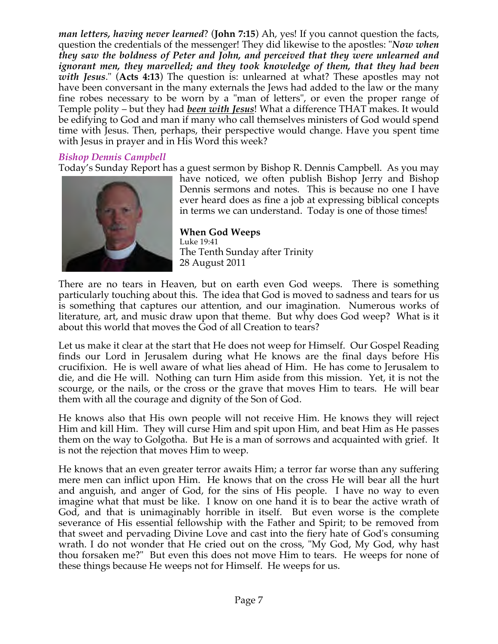*man letters, having never learned*? (**John 7:15**) Ah, yes! If you cannot question the facts, question the credentials of the messenger! They did likewise to the apostles: "*Now when they saw the boldness of Peter and John, and perceived that they were unlearned and ignorant men, they marvelled; and they took knowledge of them, that they had been with Jesus*." (**Acts 4:13**) The question is: unlearned at what? These apostles may not have been conversant in the many externals the Jews had added to the law or the many fine robes necessary to be worn by a "man of letters", or even the proper range of Temple polity – but they had *been with Jesus*! What a difference THAT makes. It would be edifying to God and man if many who call themselves ministers of God would spend time with Jesus. Then, perhaps, their perspective would change. Have you spent time with Jesus in prayer and in His Word this week?

### *Bishop Dennis Campbell*

Today's Sunday Report has a guest sermon by Bishop R. Dennis Campbell. As you may



have noticed, we often publish Bishop Jerry and Bishop Dennis sermons and notes. This is because no one I have ever heard does as fine a job at expressing biblical concepts in terms we can understand. Today is one of those times!

**When God Weeps** Luke 19:41 The Tenth Sunday after Trinity 28 August 2011

There are no tears in Heaven, but on earth even God weeps. There is something particularly touching about this. The idea that God is moved to sadness and tears for us is something that captures our attention, and our imagination. Numerous works of literature, art, and music draw upon that theme. But why does God weep? What is it about this world that moves the God of all Creation to tears?

Let us make it clear at the start that He does not weep for Himself. Our Gospel Reading finds our Lord in Jerusalem during what He knows are the final days before His crucifixion. He is well aware of what lies ahead of Him. He has come to Jerusalem to die, and die He will. Nothing can turn Him aside from this mission. Yet, it is not the scourge, or the nails, or the cross or the grave that moves Him to tears. He will bear them with all the courage and dignity of the Son of God.

He knows also that His own people will not receive Him. He knows they will reject Him and kill Him. They will curse Him and spit upon Him, and beat Him as He passes them on the way to Golgotha. But He is a man of sorrows and acquainted with grief. It is not the rejection that moves Him to weep.

He knows that an even greater terror awaits Him; a terror far worse than any suffering mere men can inflict upon Him. He knows that on the cross He will bear all the hurt and anguish, and anger of God, for the sins of His people. I have no way to even imagine what that must be like. I know on one hand it is to bear the active wrath of God, and that is unimaginably horrible in itself. But even worse is the complete severance of His essential fellowship with the Father and Spirit; to be removed from that sweet and pervading Divine Love and cast into the fiery hate of God's consuming wrath. I do not wonder that He cried out on the cross, "My God, My God, why hast thou forsaken me?" But even this does not move Him to tears. He weeps for none of these things because He weeps not for Himself. He weeps for us.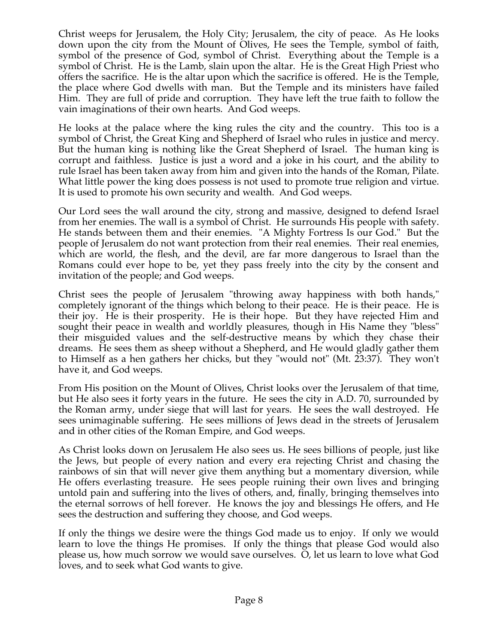Christ weeps for Jerusalem, the Holy City; Jerusalem, the city of peace. As He looks down upon the city from the Mount of Olives, He sees the Temple, symbol of faith, symbol of the presence of God, symbol of Christ. Everything about the Temple is a symbol of Christ. He is the Lamb, slain upon the altar. He is the Great High Priest who offers the sacrifice. He is the altar upon which the sacrifice is offered. He is the Temple, the place where God dwells with man. But the Temple and its ministers have failed Him. They are full of pride and corruption. They have left the true faith to follow the vain imaginations of their own hearts. And God weeps.

He looks at the palace where the king rules the city and the country. This too is a symbol of Christ, the Great King and Shepherd of Israel who rules in justice and mercy. But the human king is nothing like the Great Shepherd of Israel. The human king is corrupt and faithless. Justice is just a word and a joke in his court, and the ability to rule Israel has been taken away from him and given into the hands of the Roman, Pilate. What little power the king does possess is not used to promote true religion and virtue. It is used to promote his own security and wealth. And God weeps.

Our Lord sees the wall around the city, strong and massive, designed to defend Israel from her enemies. The wall is a symbol of Christ. He surrounds His people with safety. He stands between them and their enemies. "A Mighty Fortress Is our God." But the people of Jerusalem do not want protection from their real enemies. Their real enemies, which are world, the flesh, and the devil, are far more dangerous to Israel than the Romans could ever hope to be, yet they pass freely into the city by the consent and invitation of the people; and God weeps.

Christ sees the people of Jerusalem "throwing away happiness with both hands," completely ignorant of the things which belong to their peace. He is their peace. He is their joy. He is their prosperity. He is their hope. But they have rejected Him and sought their peace in wealth and worldly pleasures, though in His Name they "bless" their misguided values and the self-destructive means by which they chase their dreams. He sees them as sheep without a Shepherd, and He would gladly gather them to Himself as a hen gathers her chicks, but they "would not" (Mt. 23:37). They won't have it, and God weeps.

From His position on the Mount of Olives, Christ looks over the Jerusalem of that time, but He also sees it forty years in the future. He sees the city in A.D. 70, surrounded by the Roman army, under siege that will last for years. He sees the wall destroyed. He sees unimaginable suffering. He sees millions of Jews dead in the streets of Jerusalem and in other cities of the Roman Empire, and God weeps.

As Christ looks down on Jerusalem He also sees us. He sees billions of people, just like the Jews, but people of every nation and every era rejecting Christ and chasing the rainbows of sin that will never give them anything but a momentary diversion, while He offers everlasting treasure. He sees people ruining their own lives and bringing untold pain and suffering into the lives of others, and, finally, bringing themselves into the eternal sorrows of hell forever. He knows the joy and blessings He offers, and He sees the destruction and suffering they choose, and God weeps.

If only the things we desire were the things God made us to enjoy. If only we would learn to love the things He promises. If only the things that please God would also please us, how much sorrow we would save ourselves. O, let us learn to love what God loves, and to seek what God wants to give.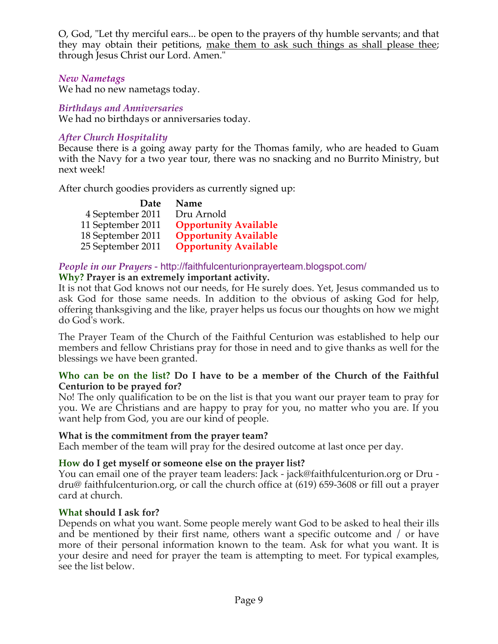O, God, "Let thy merciful ears... be open to the prayers of thy humble servants; and that they may obtain their petitions, make them to ask such things as shall please thee; through Jesus Christ our Lord. Amen."

*New Nametags* We had no new nametags today.

*Birthdays and Anniversaries* We had no birthdays or anniversaries today.

## *After Church Hospitality*

Because there is a going away party for the Thomas family, who are headed to Guam with the Navy for a two year tour, there was no snacking and no Burrito Ministry, but next week!

After church goodies providers as currently signed up:

| Date              | Name                         |
|-------------------|------------------------------|
| 4 September 2011  | Dru Arnold                   |
| 11 September 2011 | <b>Opportunity Available</b> |
| 18 September 2011 | <b>Opportunity Available</b> |
| 25 September 2011 | <b>Opportunity Available</b> |

# *People in our Prayers* - http://faithfulcenturionprayerteam.blogspot.com/

### **Why? Prayer is an extremely important activity.**

It is not that God knows not our needs, for He surely does. Yet, Jesus commanded us to ask God for those same needs. In addition to the obvious of asking God for help, offering thanksgiving and the like, prayer helps us focus our thoughts on how we might do God's work.

The Prayer Team of the Church of the Faithful Centurion was established to help our members and fellow Christians pray for those in need and to give thanks as well for the blessings we have been granted.

### **Who can be on the list? Do I have to be a member of the Church of the Faithful Centurion to be prayed for?**

No! The only qualification to be on the list is that you want our prayer team to pray for you. We are Christians and are happy to pray for you, no matter who you are. If you want help from God, you are our kind of people.

### **What is the commitment from the prayer team?**

Each member of the team will pray for the desired outcome at last once per day.

## **How do I get myself or someone else on the prayer list?**

You can email one of the prayer team leaders: Jack - jack@faithfulcenturion.org or Dru dru@ faithfulcenturion.org, or call the church office at (619) 659-3608 or fill out a prayer card at church.

### **What should I ask for?**

Depends on what you want. Some people merely want God to be asked to heal their ills and be mentioned by their first name, others want a specific outcome and / or have more of their personal information known to the team. Ask for what you want. It is your desire and need for prayer the team is attempting to meet. For typical examples, see the list below.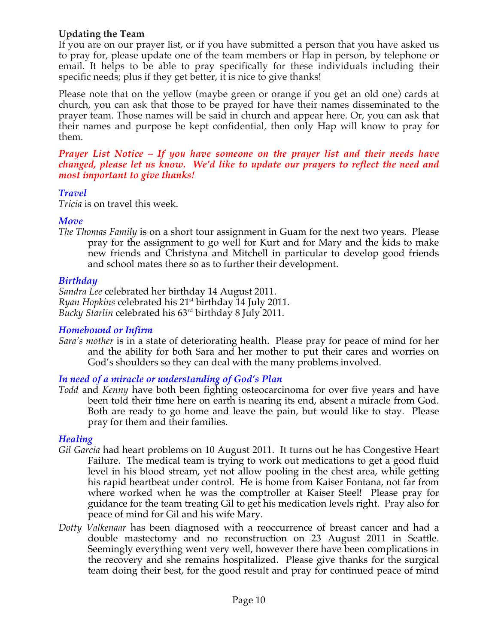### **Updating the Team**

If you are on our prayer list, or if you have submitted a person that you have asked us to pray for, please update one of the team members or Hap in person, by telephone or email. It helps to be able to pray specifically for these individuals including their specific needs; plus if they get better, it is nice to give thanks!

Please note that on the yellow (maybe green or orange if you get an old one) cards at church, you can ask that those to be prayed for have their names disseminated to the prayer team. Those names will be said in church and appear here. Or, you can ask that their names and purpose be kept confidential, then only Hap will know to pray for them.

*Prayer List Notice – If you have someone on the prayer list and their needs have changed, please let us know. We'd like to update our prayers to reflect the need and most important to give thanks!*

### *Travel*

*Tricia* is on travel this week.

### *Move*

*The Thomas Family* is on a short tour assignment in Guam for the next two years. Please pray for the assignment to go well for Kurt and for Mary and the kids to make new friends and Christyna and Mitchell in particular to develop good friends and school mates there so as to further their development.

## *Birthday*

*Sandra Lee* celebrated her birthday 14 August 2011. *Ryan Hopkins* celebrated his 21st birthday 14 July 2011. *Bucky Starlin* celebrated his 63rd birthday 8 July 2011.

### *Homebound or Infirm*

*Sara's mother* is in a state of deteriorating health. Please pray for peace of mind for her and the ability for both Sara and her mother to put their cares and worries on God's shoulders so they can deal with the many problems involved.

### *In need of a miracle or understanding of God's Plan*

*Todd* and *Kenny* have both been fighting osteocarcinoma for over five years and have been told their time here on earth is nearing its end, absent a miracle from God. Both are ready to go home and leave the pain, but would like to stay. Please pray for them and their families.

### *Healing*

- *Gil Garcia* had heart problems on 10 August 2011. It turns out he has Congestive Heart Failure. The medical team is trying to work out medications to get a good fluid level in his blood stream, yet not allow pooling in the chest area, while getting his rapid heartbeat under control. He is home from Kaiser Fontana, not far from where worked when he was the comptroller at Kaiser Steel! Please pray for guidance for the team treating Gil to get his medication levels right. Pray also for peace of mind for Gil and his wife Mary.
- *Dotty Valkenaar* has been diagnosed with a reoccurrence of breast cancer and had a double mastectomy and no reconstruction on 23 August 2011 in Seattle. Seemingly everything went very well, however there have been complications in the recovery and she remains hospitalized. Please give thanks for the surgical team doing their best, for the good result and pray for continued peace of mind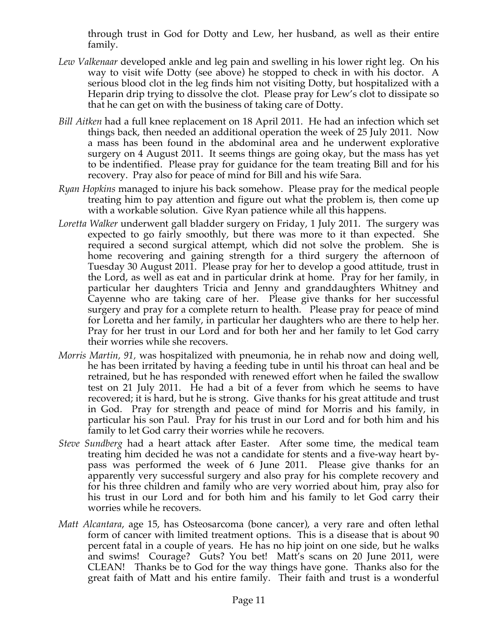through trust in God for Dotty and Lew, her husband, as well as their entire family.

- *Lew Valkenaar* developed ankle and leg pain and swelling in his lower right leg. On his way to visit wife Dotty (see above) he stopped to check in with his doctor. A serious blood clot in the leg finds him not visiting Dotty, but hospitalized with a Heparin drip trying to dissolve the clot. Please pray for Lew's clot to dissipate so that he can get on with the business of taking care of Dotty.
- *Bill Aitken* had a full knee replacement on 18 April 2011. He had an infection which set things back, then needed an additional operation the week of 25 July 2011. Now a mass has been found in the abdominal area and he underwent explorative surgery on 4 August 2011. It seems things are going okay, but the mass has yet to be indentified. Please pray for guidance for the team treating Bill and for his recovery. Pray also for peace of mind for Bill and his wife Sara.
- *Ryan Hopkins* managed to injure his back somehow. Please pray for the medical people treating him to pay attention and figure out what the problem is, then come up with a workable solution. Give Ryan patience while all this happens.
- *Loretta Walker* underwent gall bladder surgery on Friday, 1 July 2011. The surgery was expected to go fairly smoothly, but there was more to it than expected. She required a second surgical attempt, which did not solve the problem. She is home recovering and gaining strength for a third surgery the afternoon of Tuesday 30 August 2011. Please pray for her to develop a good attitude, trust in the Lord, as well as eat and in particular drink at home. Pray for her family, in particular her daughters Tricia and Jenny and granddaughters Whitney and Cayenne who are taking care of her. Please give thanks for her successful surgery and pray for a complete return to health. Please pray for peace of mind for Loretta and her family, in particular her daughters who are there to help her. Pray for her trust in our Lord and for both her and her family to let God carry their worries while she recovers.
- *Morris Martin, 91,* was hospitalized with pneumonia, he in rehab now and doing well, he has been irritated by having a feeding tube in until his throat can heal and be retrained, but he has responded with renewed effort when he failed the swallow test on 21 July 2011. He had a bit of a fever from which he seems to have recovered; it is hard, but he is strong. Give thanks for his great attitude and trust in God. Pray for strength and peace of mind for Morris and his family, in particular his son Paul. Pray for his trust in our Lord and for both him and his family to let God carry their worries while he recovers.
- *Steve Sundberg* had a heart attack after Easter. After some time, the medical team treating him decided he was not a candidate for stents and a five-way heart bypass was performed the week of 6 June 2011. Please give thanks for an apparently very successful surgery and also pray for his complete recovery and for his three children and family who are very worried about him, pray also for his trust in our Lord and for both him and his family to let God carry their worries while he recovers.
- *Matt Alcantara*, age 15, has Osteosarcoma (bone cancer), a very rare and often lethal form of cancer with limited treatment options. This is a disease that is about 90 percent fatal in a couple of years. He has no hip joint on one side, but he walks and swims! Courage? Guts? You bet! Matt's scans on 20 June 2011, were CLEAN! Thanks be to God for the way things have gone. Thanks also for the great faith of Matt and his entire family. Their faith and trust is a wonderful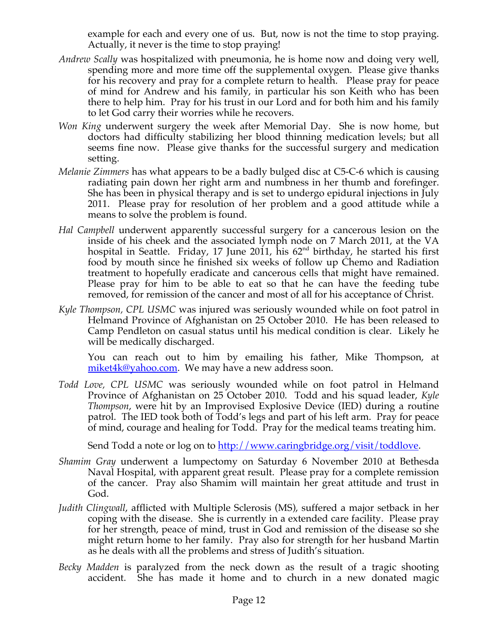example for each and every one of us. But, now is not the time to stop praying. Actually, it never is the time to stop praying!

- *Andrew Scally* was hospitalized with pneumonia, he is home now and doing very well, spending more and more time off the supplemental oxygen. Please give thanks for his recovery and pray for a complete return to health. Please pray for peace of mind for Andrew and his family, in particular his son Keith who has been there to help him. Pray for his trust in our Lord and for both him and his family to let God carry their worries while he recovers.
- *Won King* underwent surgery the week after Memorial Day. She is now home, but doctors had difficulty stabilizing her blood thinning medication levels; but all seems fine now. Please give thanks for the successful surgery and medication setting.
- *Melanie Zimmers* has what appears to be a badly bulged disc at C5-C-6 which is causing radiating pain down her right arm and numbness in her thumb and forefinger. She has been in physical therapy and is set to undergo epidural injections in July 2011. Please pray for resolution of her problem and a good attitude while a means to solve the problem is found.
- *Hal Campbell* underwent apparently successful surgery for a cancerous lesion on the inside of his cheek and the associated lymph node on 7 March 2011, at the VA hospital in Seattle. Friday, 17 June 2011, his  $62<sup>nd</sup>$  birthday, he started his first food by mouth since he finished six weeks of follow up Chemo and Radiation treatment to hopefully eradicate and cancerous cells that might have remained. Please pray for him to be able to eat so that he can have the feeding tube removed, for remission of the cancer and most of all for his acceptance of Christ.
- *Kyle Thompson, CPL USMC* was injured was seriously wounded while on foot patrol in Helmand Province of Afghanistan on 25 October 2010. He has been released to Camp Pendleton on casual status until his medical condition is clear. Likely he will be medically discharged.

You can reach out to him by emailing his father, Mike Thompson, at miket4k@yahoo.com. We may have a new address soon.

*Todd Love, CPL USMC* was seriously wounded while on foot patrol in Helmand Province of Afghanistan on 25 October 2010. Todd and his squad leader, *Kyle Thompson*, were hit by an Improvised Explosive Device (IED) during a routine patrol. The IED took both of Todd's legs and part of his left arm. Pray for peace of mind, courage and healing for Todd. Pray for the medical teams treating him.

Send Todd a note or log on to http://www.caringbridge.org/visit/toddlove.

- *Shamim Gray* underwent a lumpectomy on Saturday 6 November 2010 at Bethesda Naval Hospital, with apparent great result. Please pray for a complete remission of the cancer. Pray also Shamim will maintain her great attitude and trust in God.
- *Judith Clingwall*, afflicted with Multiple Sclerosis (MS), suffered a major setback in her coping with the disease. She is currently in a extended care facility. Please pray for her strength, peace of mind, trust in God and remission of the disease so she might return home to her family. Pray also for strength for her husband Martin as he deals with all the problems and stress of Judith's situation.
- *Becky Madden* is paralyzed from the neck down as the result of a tragic shooting accident. She has made it home and to church in a new donated magic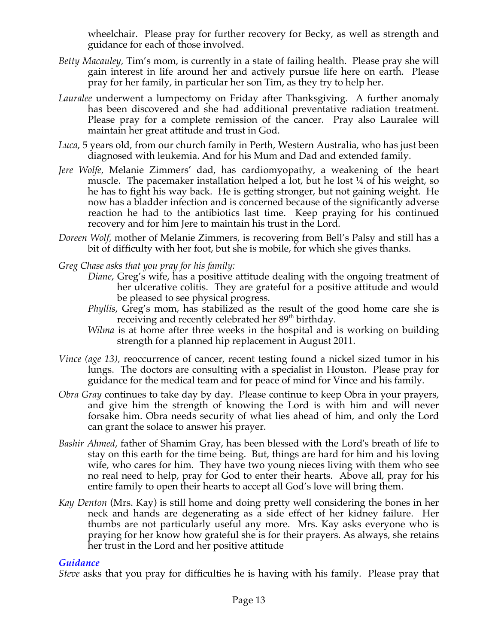wheelchair. Please pray for further recovery for Becky, as well as strength and guidance for each of those involved.

- *Betty Macauley,* Tim's mom, is currently in a state of failing health. Please pray she will gain interest in life around her and actively pursue life here on earth. Please pray for her family, in particular her son Tim, as they try to help her.
- *Lauralee* underwent a lumpectomy on Friday after Thanksgiving. A further anomaly has been discovered and she had additional preventative radiation treatment. Please pray for a complete remission of the cancer. Pray also Lauralee will maintain her great attitude and trust in God.
- *Luca*, 5 years old, from our church family in Perth, Western Australia, who has just been diagnosed with leukemia. And for his Mum and Dad and extended family.
- *Jere Wolfe,* Melanie Zimmers' dad, has cardiomyopathy, a weakening of the heart muscle. The pacemaker installation helped a lot, but he lost ¼ of his weight, so he has to fight his way back. He is getting stronger, but not gaining weight. He now has a bladder infection and is concerned because of the significantly adverse reaction he had to the antibiotics last time. Keep praying for his continued recovery and for him Jere to maintain his trust in the Lord.
- *Doreen Wolf*, mother of Melanie Zimmers, is recovering from Bell's Palsy and still has a bit of difficulty with her foot, but she is mobile, for which she gives thanks.
- *Greg Chase asks that you pray for his family:*
	- *Diane*, Greg's wife, has a positive attitude dealing with the ongoing treatment of her ulcerative colitis. They are grateful for a positive attitude and would be pleased to see physical progress.
	- *Phyllis*, Greg's mom, has stabilized as the result of the good home care she is receiving and recently celebrated her  $89<sup>th</sup>$  birthday.
	- *Wilma* is at home after three weeks in the hospital and is working on building strength for a planned hip replacement in August 2011.
- *Vince (age 13), reoccurrence of cancer, recent testing found a nickel sized tumor in his* lungs. The doctors are consulting with a specialist in Houston. Please pray for guidance for the medical team and for peace of mind for Vince and his family.
- *Obra Gray* continues to take day by day. Please continue to keep Obra in your prayers, and give him the strength of knowing the Lord is with him and will never forsake him. Obra needs security of what lies ahead of him, and only the Lord can grant the solace to answer his prayer.
- *Bashir Ahmed*, father of Shamim Gray, has been blessed with the Lord's breath of life to stay on this earth for the time being. But, things are hard for him and his loving wife, who cares for him. They have two young nieces living with them who see no real need to help, pray for God to enter their hearts. Above all, pray for his entire family to open their hearts to accept all God's love will bring them.
- *Kay Denton* (Mrs. Kay) is still home and doing pretty well considering the bones in her neck and hands are degenerating as a side effect of her kidney failure. Her thumbs are not particularly useful any more. Mrs. Kay asks everyone who is praying for her know how grateful she is for their prayers. As always, she retains her trust in the Lord and her positive attitude.

### *Guidance*

*Steve* asks that you pray for difficulties he is having with his family. Please pray that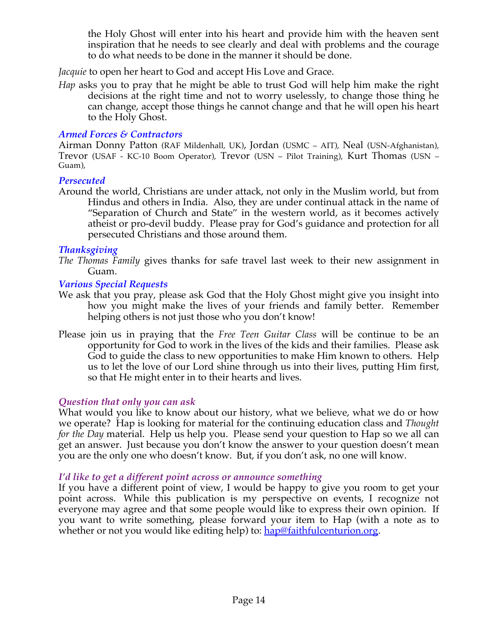the Holy Ghost will enter into his heart and provide him with the heaven sent inspiration that he needs to see clearly and deal with problems and the courage to do what needs to be done in the manner it should be done.

*Jacquie* to open her heart to God and accept His Love and Grace.

*Hap* asks you to pray that he might be able to trust God will help him make the right decisions at the right time and not to worry uselessly, to change those thing he can change, accept those things he cannot change and that he will open his heart to the Holy Ghost.

### *Armed Forces & Contractors*

Airman Donny Patton (RAF Mildenhall, UK), Jordan (USMC – AIT), Neal (USN-Afghanistan), Trevor (USAF - KC-10 Boom Operator), Trevor (USN – Pilot Training), Kurt Thomas (USN – Guam),

#### *Persecuted*

Around the world, Christians are under attack, not only in the Muslim world, but from Hindus and others in India. Also, they are under continual attack in the name of "Separation of Church and State" in the western world, as it becomes actively atheist or pro-devil buddy. Please pray for God's guidance and protection for all persecuted Christians and those around them.

### *Thanksgiving*

*The Thomas Family* gives thanks for safe travel last week to their new assignment in Guam.

### *Various Special Requests*

- We ask that you pray, please ask God that the Holy Ghost might give you insight into how you might make the lives of your friends and family better. Remember helping others is not just those who you don't know!
- Please join us in praying that the *Free Teen Guitar Class* will be continue to be an opportunity for God to work in the lives of the kids and their families. Please ask God to guide the class to new opportunities to make Him known to others. Help us to let the love of our Lord shine through us into their lives, putting Him first, so that He might enter in to their hearts and lives.

### *Question that only you can ask*

What would you like to know about our history, what we believe, what we do or how we operate? Hap is looking for material for the continuing education class and *Thought for the Day* material. Help us help you. Please send your question to Hap so we all can get an answer. Just because you don't know the answer to your question doesn't mean you are the only one who doesn't know. But, if you don't ask, no one will know.

### *I'd like to get a different point across or announce something*

If you have a different point of view, I would be happy to give you room to get your point across. While this publication is my perspective on events, I recognize not everyone may agree and that some people would like to express their own opinion. If you want to write something, please forward your item to Hap (with a note as to whether or not you would like editing help) to: hap@faithfulcenturion.org.